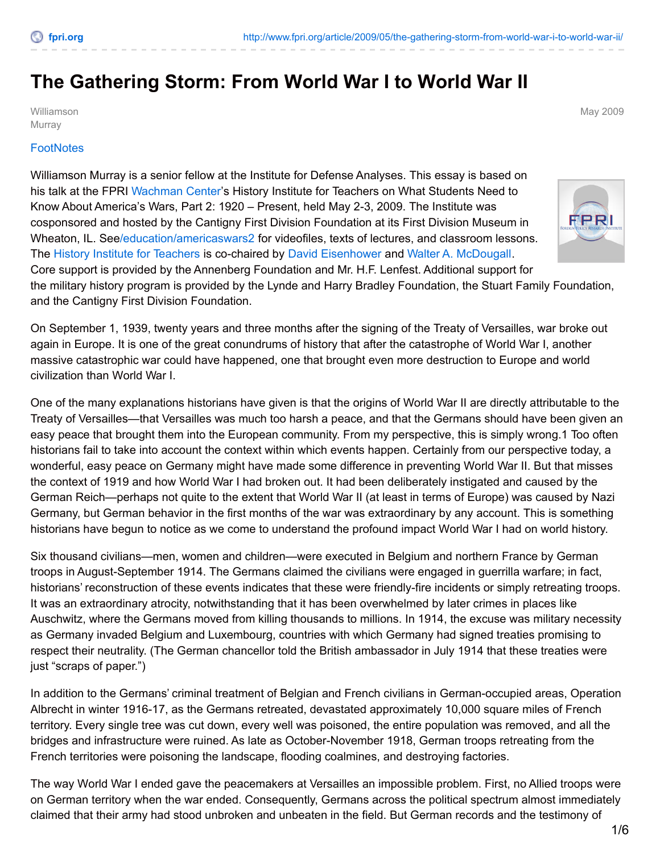## **The Gathering Storm: From World War I to World War II**

Williamson Murray

May 2009

## **[FootNotes](http://www.fpri.org/publications/footnotes)**

Williamson Murray is a senior fellow at the Institute for Defense Analyses. This essay is based on his talk at the FPRI [Wachman](http://www.fpri.org/education/wachman-center) Center's History Institute for Teachers on What Students Need to Know About America's Wars, Part 2: 1920 – Present, held May 2-3, 2009. The Institute was cosponsored and hosted by the Cantigny First Division Foundation at its First Division Museum in Wheaton, IL. Se[e/education/americaswars2](http://www.fpri.org/education/americaswars2) for videofiles, texts of lectures, and classroom lessons. The History Institute for [Teachers](http://www.fpri.org/education/history-institute) is co-chaired by David [Eisenhower](http://www.fpri.org/authors/david-eisenhower) and Walter A. [McDougall](http://www.fpri.org/authors/walter-mcdougall). Core support is provided by the Annenberg Foundation and Mr. H.F. Lenfest. Additional support for the military history program is provided by the Lynde and Harry Bradley Foundation, the Stuart Family Foundation, and the Cantigny First Division Foundation.

On September 1, 1939, twenty years and three months after the signing of the Treaty of Versailles, war broke out again in Europe. It is one of the great conundrums of history that after the catastrophe of World War I, another massive catastrophic war could have happened, one that brought even more destruction to Europe and world civilization than World War I.

One of the many explanations historians have given is that the origins of World War II are directly attributable to the Treaty of Versailles—that Versailles was much too harsh a peace, and that the Germans should have been given an easy peace that brought them into the European community. From my perspective, this is simply wrong.1 Too often historians fail to take into account the context within which events happen. Certainly from our perspective today, a wonderful, easy peace on Germany might have made some difference in preventing World War II. But that misses the context of 1919 and how World War I had broken out. It had been deliberately instigated and caused by the German Reich—perhaps not quite to the extent that World War II (at least in terms of Europe) was caused by Nazi Germany, but German behavior in the first months of the war was extraordinary by any account. This is something historians have begun to notice as we come to understand the profound impact World War I had on world history.

Six thousand civilians—men, women and children—were executed in Belgium and northern France by German troops in August-September 1914. The Germans claimed the civilians were engaged in guerrilla warfare; in fact, historians' reconstruction of these events indicates that these were friendly-fire incidents or simply retreating troops. It was an extraordinary atrocity, notwithstanding that it has been overwhelmed by later crimes in places like Auschwitz, where the Germans moved from killing thousands to millions. In 1914, the excuse was military necessity as Germany invaded Belgium and Luxembourg, countries with which Germany had signed treaties promising to respect their neutrality. (The German chancellor told the British ambassador in July 1914 that these treaties were just "scraps of paper.")

In addition to the Germans' criminal treatment of Belgian and French civilians in German-occupied areas, Operation Albrecht in winter 1916-17, as the Germans retreated, devastated approximately 10,000 square miles of French territory. Every single tree was cut down, every well was poisoned, the entire population was removed, and all the bridges and infrastructure were ruined. As late as October-November 1918, German troops retreating from the French territories were poisoning the landscape, flooding coalmines, and destroying factories.

The way World War I ended gave the peacemakers at Versailles an impossible problem. First, no Allied troops were on German territory when the war ended. Consequently, Germans across the political spectrum almost immediately claimed that their army had stood unbroken and unbeaten in the field. But German records and the testimony of

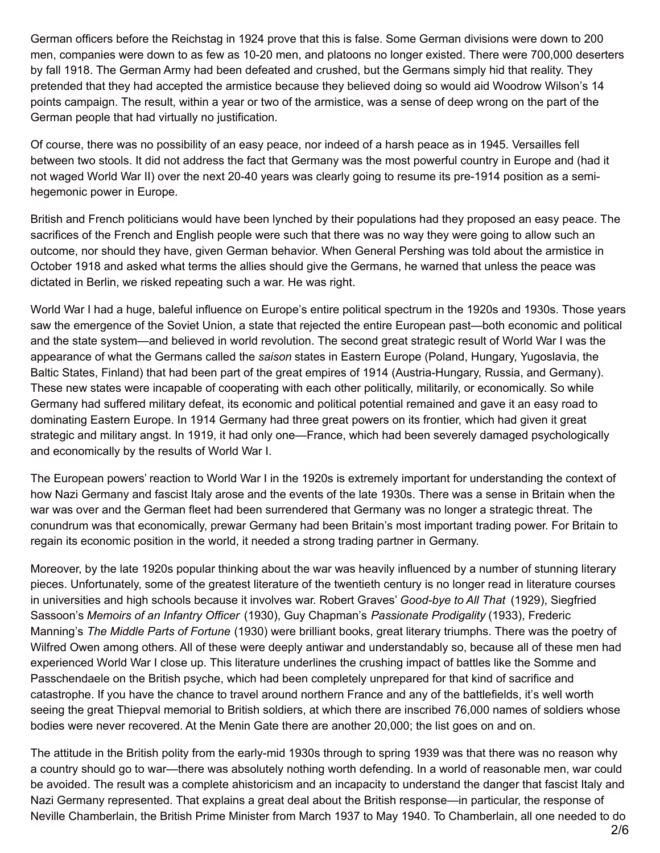German officers before the Reichstag in 1924 prove that this is false. Some German divisions were down to 200 men, companies were down to as few as 10-20 men, and platoons no longer existed. There were 700,000 deserters by fall 1918. The German Army had been defeated and crushed, but the Germans simply hid that reality. They pretended that they had accepted the armistice because they believed doing so would aid Woodrow Wilson's 14 points campaign. The result, within a year or two of the armistice, was a sense of deep wrong on the part of the German people that had virtually no justification.

Of course, there was no possibility of an easy peace, nor indeed of a harsh peace as in 1945. Versailles fell between two stools. It did not address the fact that Germany was the most powerful country in Europe and (had it not waged World War II) over the next 20-40 years was clearly going to resume its pre-1914 position as a semihegemonic power in Europe.

British and French politicians would have been lynched by their populations had they proposed an easy peace. The sacrifices of the French and English people were such that there was no way they were going to allow such an outcome, nor should they have, given German behavior. When General Pershing was told about the armistice in October 1918 and asked what terms the allies should give the Germans, he warned that unless the peace was dictated in Berlin, we risked repeating such a war. He was right.

World War I had a huge, baleful influence on Europe's entire political spectrum in the 1920s and 1930s. Those years saw the emergence of the Soviet Union, a state that rejected the entire European past—both economic and political and the state system—and believed in world revolution. The second great strategic result of World War I was the appearance of what the Germans called the *saison* states in Eastern Europe (Poland, Hungary, Yugoslavia, the Baltic States, Finland) that had been part of the great empires of 1914 (Austria-Hungary, Russia, and Germany). These new states were incapable of cooperating with each other politically, militarily, or economically. So while Germany had suffered military defeat, its economic and political potential remained and gave it an easy road to dominating Eastern Europe. In 1914 Germany had three great powers on its frontier, which had given it great strategic and military angst. In 1919, it had only one—France, which had been severely damaged psychologically and economically by the results of World War I.

The European powers' reaction to World War I in the 1920s is extremely important for understanding the context of how Nazi Germany and fascist Italy arose and the events of the late 1930s. There was a sense in Britain when the war was over and the German fleet had been surrendered that Germany was no longer a strategic threat. The conundrum was that economically, prewar Germany had been Britain's most important trading power. For Britain to regain its economic position in the world, it needed a strong trading partner in Germany.

Moreover, by the late 1920s popular thinking about the war was heavily influenced by a number of stunning literary pieces. Unfortunately, some of the greatest literature of the twentieth century is no longer read in literature courses in universities and high schools because it involves war. Robert Graves' *Good-bye to All That* (1929), Siegfried Sassoon's *Memoirs of an Infantry Officer* (1930), Guy Chapman's *Passionate Prodigality* (1933), Frederic Manning's *The Middle Parts of Fortune* (1930) were brilliant books, great literary triumphs. There was the poetry of Wilfred Owen among others. All of these were deeply antiwar and understandably so, because all of these men had experienced World War I close up. This literature underlines the crushing impact of battles like the Somme and Passchendaele on the British psyche, which had been completely unprepared for that kind of sacrifice and catastrophe. If you have the chance to travel around northern France and any of the battlefields, it's well worth seeing the great Thiepval memorial to British soldiers, at which there are inscribed 76,000 names of soldiers whose bodies were never recovered. At the Menin Gate there are another 20,000; the list goes on and on.

The attitude in the British polity from the early-mid 1930s through to spring 1939 was that there was no reason why a country should go to war—there was absolutely nothing worth defending. In a world of reasonable men, war could be avoided. The result was a complete ahistoricism and an incapacity to understand the danger that fascist Italy and Nazi Germany represented. That explains a great deal about the British response—in particular, the response of Neville Chamberlain, the British Prime Minister from March 1937 to May 1940. To Chamberlain, all one needed to do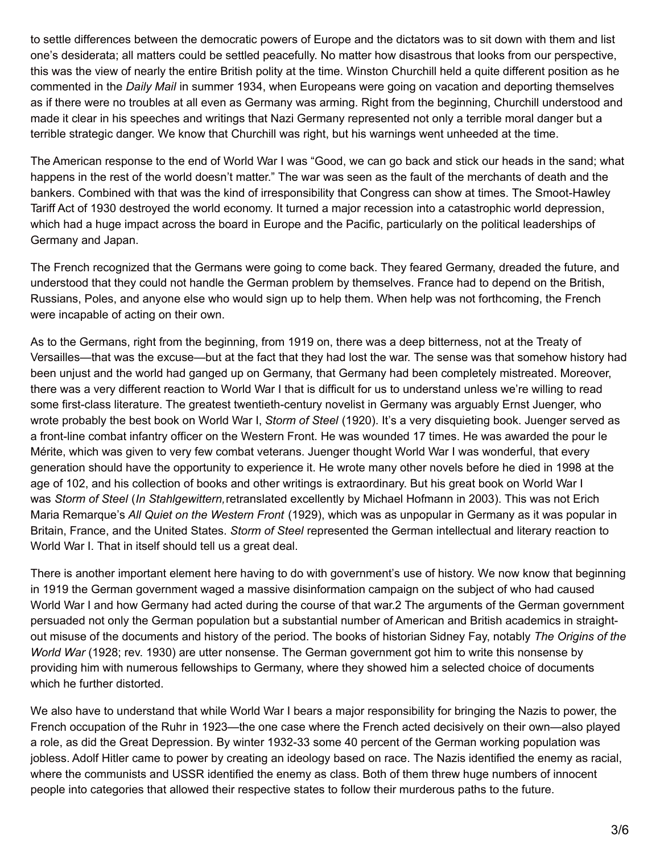to settle differences between the democratic powers of Europe and the dictators was to sit down with them and list one's desiderata; all matters could be settled peacefully. No matter how disastrous that looks from our perspective, this was the view of nearly the entire British polity at the time. Winston Churchill held a quite different position as he commented in the *Daily Mail* in summer 1934, when Europeans were going on vacation and deporting themselves as if there were no troubles at all even as Germany was arming. Right from the beginning, Churchill understood and made it clear in his speeches and writings that Nazi Germany represented not only a terrible moral danger but a terrible strategic danger. We know that Churchill was right, but his warnings went unheeded at the time.

The American response to the end of World War I was "Good, we can go back and stick our heads in the sand; what happens in the rest of the world doesn't matter." The war was seen as the fault of the merchants of death and the bankers. Combined with that was the kind of irresponsibility that Congress can show at times. The Smoot-Hawley Tariff Act of 1930 destroyed the world economy. It turned a major recession into a catastrophic world depression, which had a huge impact across the board in Europe and the Pacific, particularly on the political leaderships of Germany and Japan.

The French recognized that the Germans were going to come back. They feared Germany, dreaded the future, and understood that they could not handle the German problem by themselves. France had to depend on the British, Russians, Poles, and anyone else who would sign up to help them. When help was not forthcoming, the French were incapable of acting on their own.

As to the Germans, right from the beginning, from 1919 on, there was a deep bitterness, not at the Treaty of Versailles—that was the excuse—but at the fact that they had lost the war. The sense was that somehow history had been unjust and the world had ganged up on Germany, that Germany had been completely mistreated. Moreover, there was a very different reaction to World War I that is difficult for us to understand unless we're willing to read some first-class literature. The greatest twentieth-century novelist in Germany was arguably Ernst Juenger, who wrote probably the best book on World War I, *Storm of Steel* (1920). It's a very disquieting book. Juenger served as a front-line combat infantry officer on the Western Front. He was wounded 17 times. He was awarded the pour le Mérite, which was given to very few combat veterans. Juenger thought World War I was wonderful, that every generation should have the opportunity to experience it. He wrote many other novels before he died in 1998 at the age of 102, and his collection of books and other writings is extraordinary. But his great book on World War I was *Storm of Steel* (*In Stahlgewittern,*retranslated excellently by Michael Hofmann in 2003). This was not Erich Maria Remarque's *All Quiet on the Western Front* (1929), which was as unpopular in Germany as it was popular in Britain, France, and the United States. *Storm of Steel* represented the German intellectual and literary reaction to World War I. That in itself should tell us a great deal.

There is another important element here having to do with government's use of history. We now know that beginning in 1919 the German government waged a massive disinformation campaign on the subject of who had caused World War I and how Germany had acted during the course of that war.2 The arguments of the German government persuaded not only the German population but a substantial number of American and British academics in straightout misuse of the documents and history of the period. The books of historian Sidney Fay, notably *The Origins of the World War* (1928; rev. 1930) are utter nonsense. The German government got him to write this nonsense by providing him with numerous fellowships to Germany, where they showed him a selected choice of documents which he further distorted.

We also have to understand that while World War I bears a major responsibility for bringing the Nazis to power, the French occupation of the Ruhr in 1923—the one case where the French acted decisively on their own—also played a role, as did the Great Depression. By winter 1932-33 some 40 percent of the German working population was jobless. Adolf Hitler came to power by creating an ideology based on race. The Nazis identified the enemy as racial, where the communists and USSR identified the enemy as class. Both of them threw huge numbers of innocent people into categories that allowed their respective states to follow their murderous paths to the future.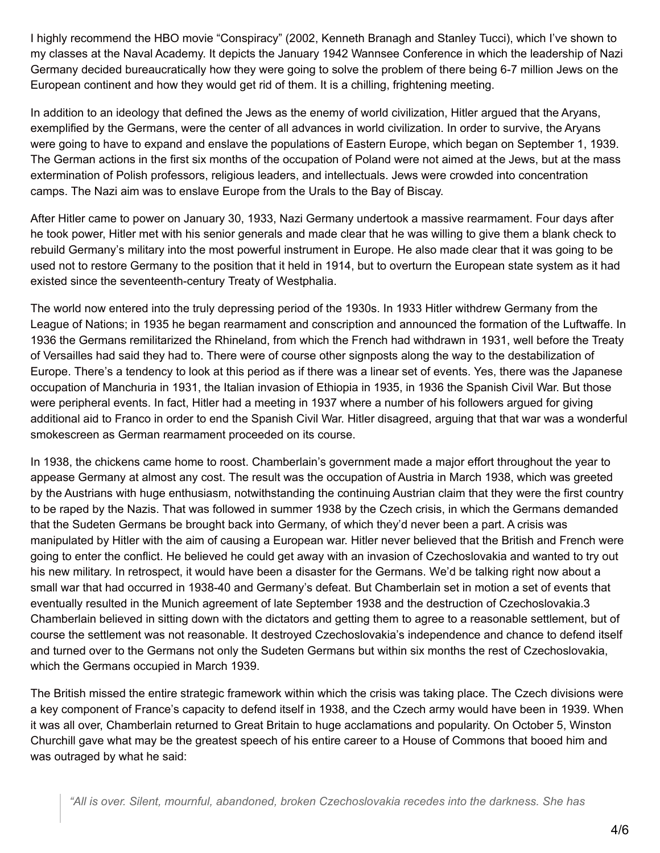I highly recommend the HBO movie "Conspiracy" (2002, Kenneth Branagh and Stanley Tucci), which I've shown to my classes at the Naval Academy. It depicts the January 1942 Wannsee Conference in which the leadership of Nazi Germany decided bureaucratically how they were going to solve the problem of there being 6-7 million Jews on the European continent and how they would get rid of them. It is a chilling, frightening meeting.

In addition to an ideology that defined the Jews as the enemy of world civilization, Hitler argued that the Aryans, exemplified by the Germans, were the center of all advances in world civilization. In order to survive, the Aryans were going to have to expand and enslave the populations of Eastern Europe, which began on September 1, 1939. The German actions in the first six months of the occupation of Poland were not aimed at the Jews, but at the mass extermination of Polish professors, religious leaders, and intellectuals. Jews were crowded into concentration camps. The Nazi aim was to enslave Europe from the Urals to the Bay of Biscay.

After Hitler came to power on January 30, 1933, Nazi Germany undertook a massive rearmament. Four days after he took power, Hitler met with his senior generals and made clear that he was willing to give them a blank check to rebuild Germany's military into the most powerful instrument in Europe. He also made clear that it was going to be used not to restore Germany to the position that it held in 1914, but to overturn the European state system as it had existed since the seventeenth-century Treaty of Westphalia.

The world now entered into the truly depressing period of the 1930s. In 1933 Hitler withdrew Germany from the League of Nations; in 1935 he began rearmament and conscription and announced the formation of the Luftwaffe. In 1936 the Germans remilitarized the Rhineland, from which the French had withdrawn in 1931, well before the Treaty of Versailles had said they had to. There were of course other signposts along the way to the destabilization of Europe. There's a tendency to look at this period as if there was a linear set of events. Yes, there was the Japanese occupation of Manchuria in 1931, the Italian invasion of Ethiopia in 1935, in 1936 the Spanish Civil War. But those were peripheral events. In fact, Hitler had a meeting in 1937 where a number of his followers argued for giving additional aid to Franco in order to end the Spanish Civil War. Hitler disagreed, arguing that that war was a wonderful smokescreen as German rearmament proceeded on its course.

In 1938, the chickens came home to roost. Chamberlain's government made a major effort throughout the year to appease Germany at almost any cost. The result was the occupation of Austria in March 1938, which was greeted by the Austrians with huge enthusiasm, notwithstanding the continuing Austrian claim that they were the first country to be raped by the Nazis. That was followed in summer 1938 by the Czech crisis, in which the Germans demanded that the Sudeten Germans be brought back into Germany, of which they'd never been a part. A crisis was manipulated by Hitler with the aim of causing a European war. Hitler never believed that the British and French were going to enter the conflict. He believed he could get away with an invasion of Czechoslovakia and wanted to try out his new military. In retrospect, it would have been a disaster for the Germans. We'd be talking right now about a small war that had occurred in 1938-40 and Germany's defeat. But Chamberlain set in motion a set of events that eventually resulted in the Munich agreement of late September 1938 and the destruction of Czechoslovakia.3 Chamberlain believed in sitting down with the dictators and getting them to agree to a reasonable settlement, but of course the settlement was not reasonable. It destroyed Czechoslovakia's independence and chance to defend itself and turned over to the Germans not only the Sudeten Germans but within six months the rest of Czechoslovakia, which the Germans occupied in March 1939.

The British missed the entire strategic framework within which the crisis was taking place. The Czech divisions were a key component of France's capacity to defend itself in 1938, and the Czech army would have been in 1939. When it was all over, Chamberlain returned to Great Britain to huge acclamations and popularity. On October 5, Winston Churchill gave what may be the greatest speech of his entire career to a House of Commons that booed him and was outraged by what he said: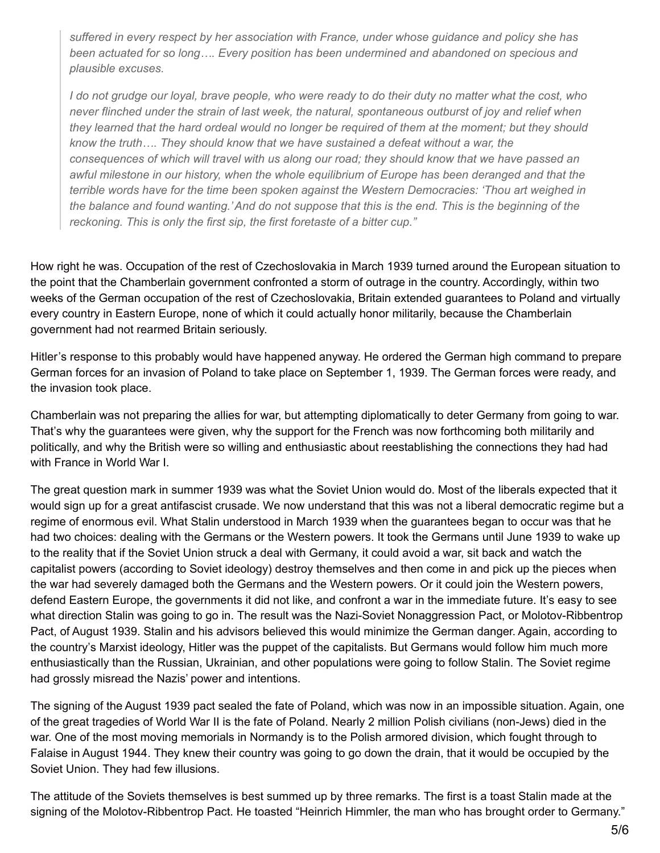*suffered in every respect by her association with France, under whose guidance and policy she has been actuated for so long…. Every position has been undermined and abandoned on specious and plausible excuses.*

I do not grudge our loval, brave people, who were ready to do their duty no matter what the cost, who *never flinched under the strain of last week, the natural, spontaneous outburst of joy and relief when* they learned that the hard ordeal would no longer be required of them at the moment; but they should *know the truth…. They should know that we have sustained a defeat without a war, the consequences of which will travel with us along our road; they should know that we have passed an awful milestone in our history, when the whole equilibrium of Europe has been deranged and that the terrible words have for the time been spoken against the Western Democracies: 'Thou art weighed in* the balance and found wanting.' And do not suppose that this is the end. This is the beginning of the *reckoning. This is only the first sip, the first foretaste of a bitter cup."*

How right he was. Occupation of the rest of Czechoslovakia in March 1939 turned around the European situation to the point that the Chamberlain government confronted a storm of outrage in the country. Accordingly, within two weeks of the German occupation of the rest of Czechoslovakia, Britain extended guarantees to Poland and virtually every country in Eastern Europe, none of which it could actually honor militarily, because the Chamberlain government had not rearmed Britain seriously.

Hitler's response to this probably would have happened anyway. He ordered the German high command to prepare German forces for an invasion of Poland to take place on September 1, 1939. The German forces were ready, and the invasion took place.

Chamberlain was not preparing the allies for war, but attempting diplomatically to deter Germany from going to war. That's why the guarantees were given, why the support for the French was now forthcoming both militarily and politically, and why the British were so willing and enthusiastic about reestablishing the connections they had had with France in World War I.

The great question mark in summer 1939 was what the Soviet Union would do. Most of the liberals expected that it would sign up for a great antifascist crusade. We now understand that this was not a liberal democratic regime but a regime of enormous evil. What Stalin understood in March 1939 when the guarantees began to occur was that he had two choices: dealing with the Germans or the Western powers. It took the Germans until June 1939 to wake up to the reality that if the Soviet Union struck a deal with Germany, it could avoid a war, sit back and watch the capitalist powers (according to Soviet ideology) destroy themselves and then come in and pick up the pieces when the war had severely damaged both the Germans and the Western powers. Or it could join the Western powers, defend Eastern Europe, the governments it did not like, and confront a war in the immediate future. It's easy to see what direction Stalin was going to go in. The result was the Nazi-Soviet Nonaggression Pact, or Molotov-Ribbentrop Pact, of August 1939. Stalin and his advisors believed this would minimize the German danger. Again, according to the country's Marxist ideology, Hitler was the puppet of the capitalists. But Germans would follow him much more enthusiastically than the Russian, Ukrainian, and other populations were going to follow Stalin. The Soviet regime had grossly misread the Nazis' power and intentions.

The signing of the August 1939 pact sealed the fate of Poland, which was now in an impossible situation. Again, one of the great tragedies of World War II is the fate of Poland. Nearly 2 million Polish civilians (non-Jews) died in the war. One of the most moving memorials in Normandy is to the Polish armored division, which fought through to Falaise in August 1944. They knew their country was going to go down the drain, that it would be occupied by the Soviet Union. They had few illusions.

The attitude of the Soviets themselves is best summed up by three remarks. The first is a toast Stalin made at the signing of the Molotov-Ribbentrop Pact. He toasted "Heinrich Himmler, the man who has brought order to Germany."